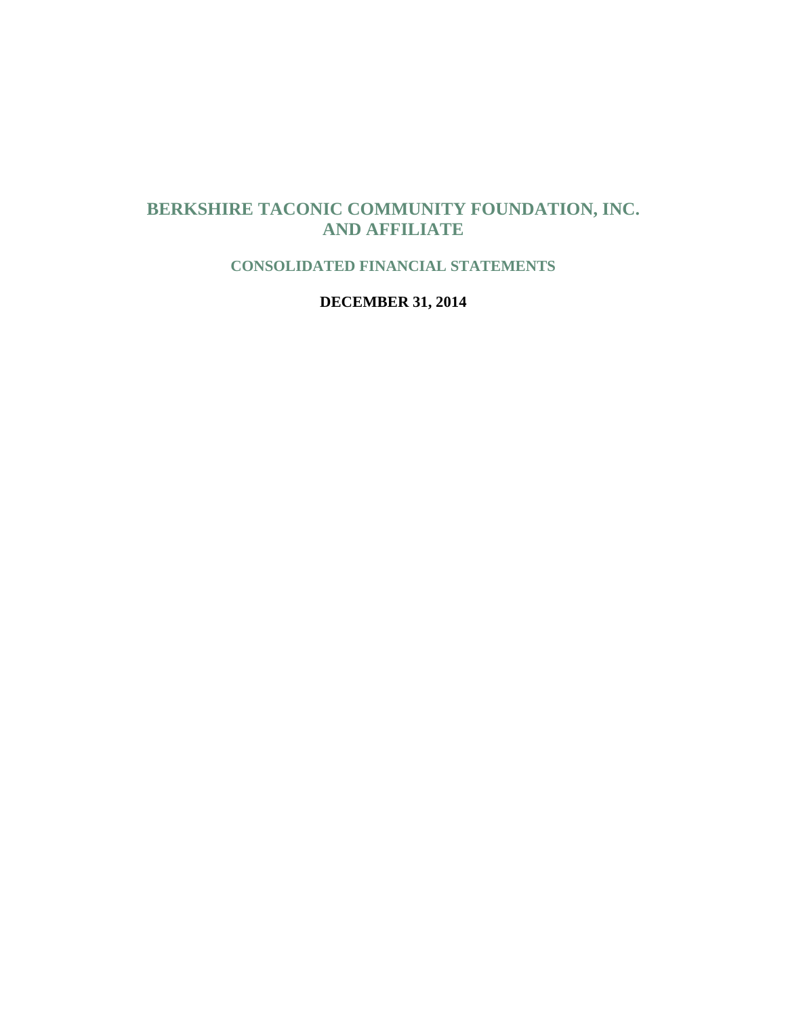# **BERKSHIRE TACONIC COMMUNITY FOUNDATION, INC. AND AFFILIATE**

**CONSOLIDATED FINANCIAL STATEMENTS**

**DECEMBER 31, 2014**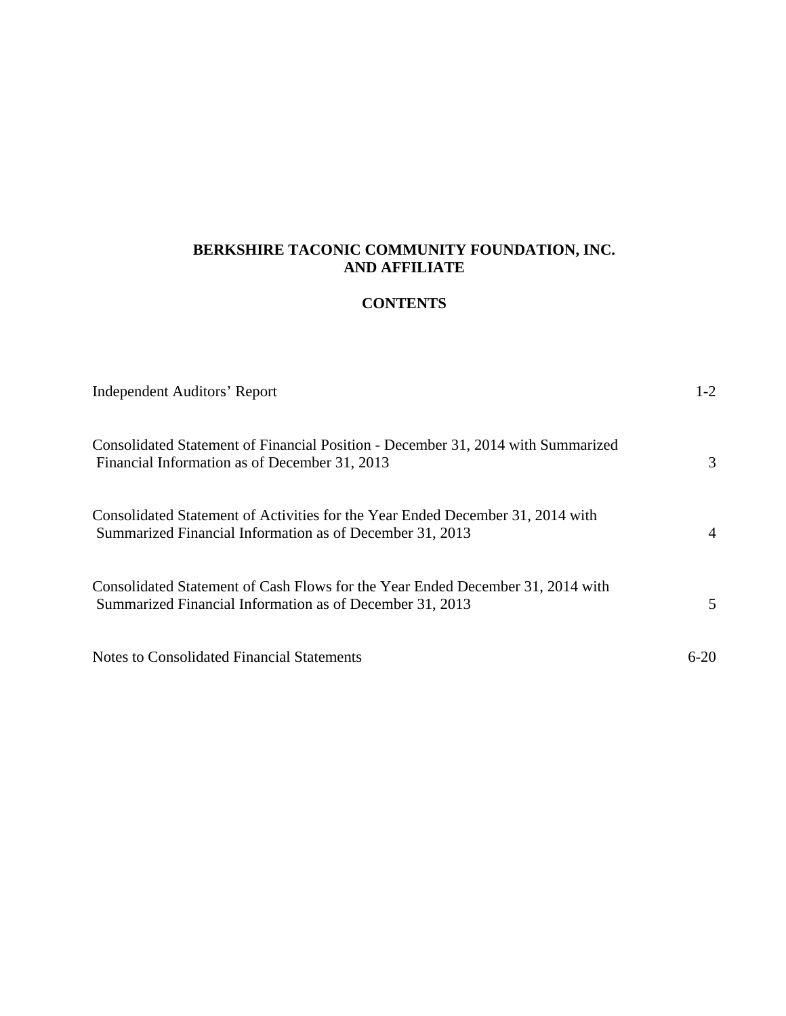## **BERKSHIRE TACONIC COMMUNITY FOUNDATION, INC. AND AFFILIATE**

## **CONTENTS**

| <b>Independent Auditors' Report</b>                                                                                                        | $1 - 2$        |
|--------------------------------------------------------------------------------------------------------------------------------------------|----------------|
| Consolidated Statement of Financial Position - December 31, 2014 with Summarized<br>Financial Information as of December 31, 2013          | 3              |
| Consolidated Statement of Activities for the Year Ended December 31, 2014 with<br>Summarized Financial Information as of December 31, 2013 | $\overline{4}$ |
| Consolidated Statement of Cash Flows for the Year Ended December 31, 2014 with<br>Summarized Financial Information as of December 31, 2013 | 5              |
| Notes to Consolidated Financial Statements                                                                                                 | 6-20           |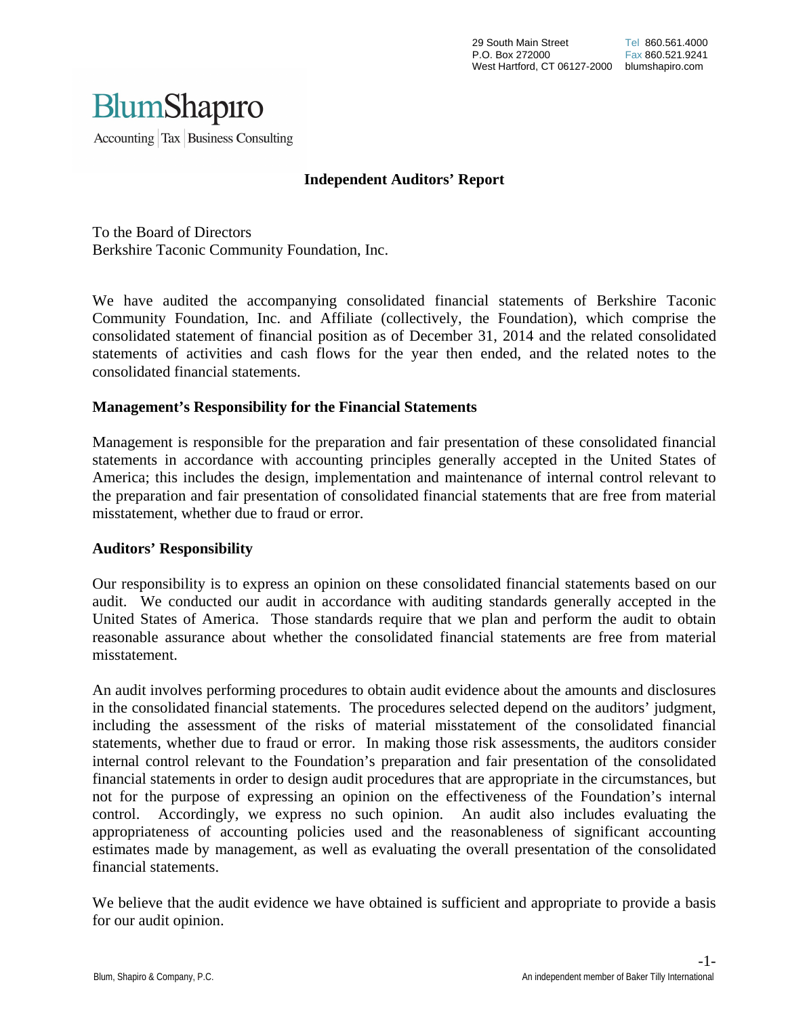

## **Independent Auditors' Report**

To the Board of Directors Berkshire Taconic Community Foundation, Inc.

We have audited the accompanying consolidated financial statements of Berkshire Taconic Community Foundation, Inc. and Affiliate (collectively, the Foundation), which comprise the consolidated statement of financial position as of December 31, 2014 and the related consolidated statements of activities and cash flows for the year then ended, and the related notes to the consolidated financial statements.

#### **Management's Responsibility for the Financial Statements**

Management is responsible for the preparation and fair presentation of these consolidated financial statements in accordance with accounting principles generally accepted in the United States of America; this includes the design, implementation and maintenance of internal control relevant to the preparation and fair presentation of consolidated financial statements that are free from material misstatement, whether due to fraud or error.

#### **Auditors' Responsibility**

Our responsibility is to express an opinion on these consolidated financial statements based on our audit. We conducted our audit in accordance with auditing standards generally accepted in the United States of America. Those standards require that we plan and perform the audit to obtain reasonable assurance about whether the consolidated financial statements are free from material misstatement.

An audit involves performing procedures to obtain audit evidence about the amounts and disclosures in the consolidated financial statements. The procedures selected depend on the auditors' judgment, including the assessment of the risks of material misstatement of the consolidated financial statements, whether due to fraud or error. In making those risk assessments, the auditors consider internal control relevant to the Foundation's preparation and fair presentation of the consolidated financial statements in order to design audit procedures that are appropriate in the circumstances, but not for the purpose of expressing an opinion on the effectiveness of the Foundation's internal control. Accordingly, we express no such opinion. An audit also includes evaluating the appropriateness of accounting policies used and the reasonableness of significant accounting estimates made by management, as well as evaluating the overall presentation of the consolidated financial statements.

We believe that the audit evidence we have obtained is sufficient and appropriate to provide a basis for our audit opinion.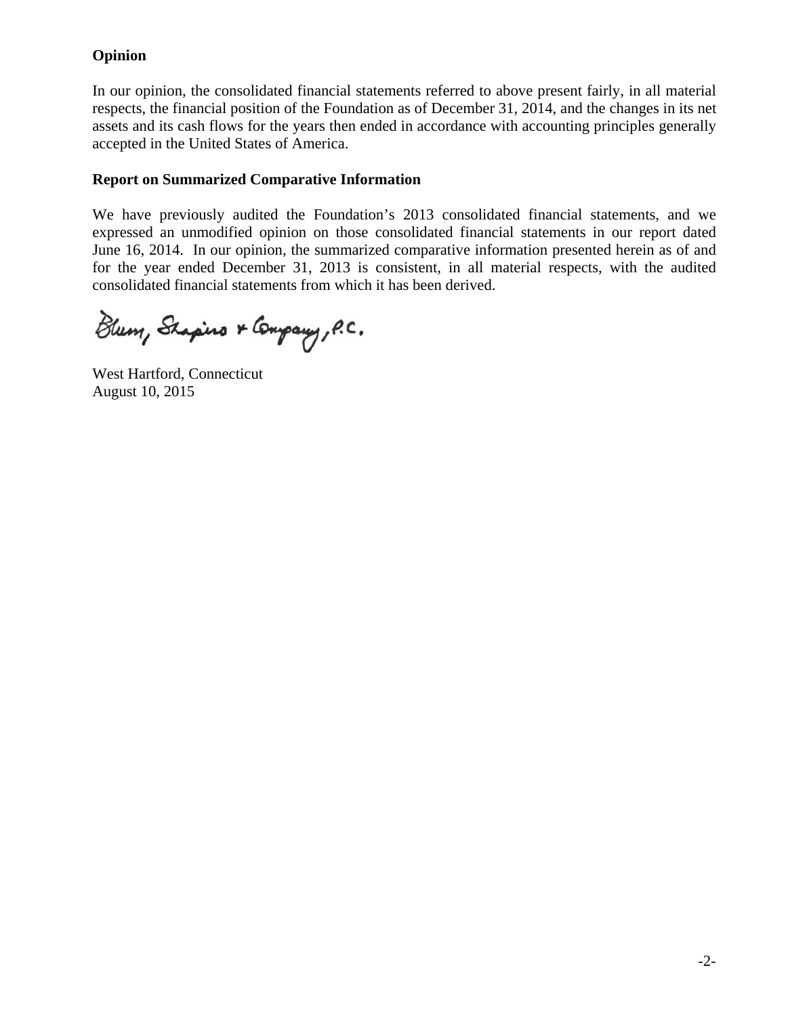## **Opinion**

In our opinion, the consolidated financial statements referred to above present fairly, in all material respects, the financial position of the Foundation as of December 31, 2014, and the changes in its net assets and its cash flows for the years then ended in accordance with accounting principles generally accepted in the United States of America.

## **Report on Summarized Comparative Information**

We have previously audited the Foundation's 2013 consolidated financial statements, and we expressed an unmodified opinion on those consolidated financial statements in our report dated June 16, 2014. In our opinion, the summarized comparative information presented herein as of and for the year ended December 31, 2013 is consistent, in all material respects, with the audited consolidated financial statements from which it has been derived.

Blum, Shapino & Company, P.C.

West Hartford, Connecticut August 10, 2015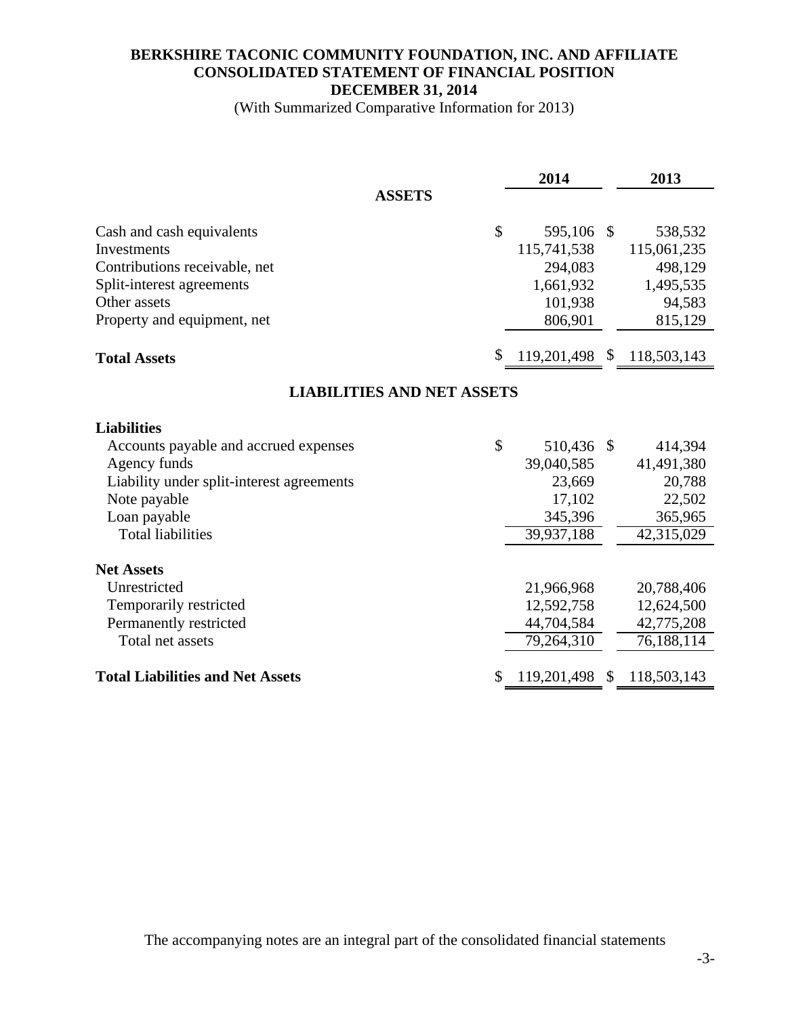## **BERKSHIRE TACONIC COMMUNITY FOUNDATION, INC. AND AFFILIATE CONSOLIDATED STATEMENT OF FINANCIAL POSITION DECEMBER 31, 2014**

(With Summarized Comparative Information for 2013)

|                                           |                    | 2014           |  | 2013        |  |  |  |  |
|-------------------------------------------|--------------------|----------------|--|-------------|--|--|--|--|
| <b>ASSETS</b>                             |                    |                |  |             |  |  |  |  |
| Cash and cash equivalents                 | $\mathbf{\hat{S}}$ | 595,106 \$     |  | 538,532     |  |  |  |  |
| Investments                               |                    | 115,741,538    |  | 115,061,235 |  |  |  |  |
| Contributions receivable, net             |                    | 294,083        |  | 498,129     |  |  |  |  |
| Split-interest agreements                 |                    | 1,661,932      |  | 1,495,535   |  |  |  |  |
| Other assets                              |                    | 101,938        |  | 94,583      |  |  |  |  |
| Property and equipment, net               |                    | 806,901        |  | 815,129     |  |  |  |  |
| <b>Total Assets</b>                       | \$                 | 119,201,498 \$ |  | 118,503,143 |  |  |  |  |
| <b>LIABILITIES AND NET ASSETS</b>         |                    |                |  |             |  |  |  |  |
| <b>Liabilities</b>                        |                    |                |  |             |  |  |  |  |
| Accounts payable and accrued expenses     | $\mathcal{S}$      | 510,436 \$     |  | 414,394     |  |  |  |  |
| Agency funds                              |                    | 39,040,585     |  | 41,491,380  |  |  |  |  |
| Liability under split-interest agreements |                    | 23,669         |  | 20,788      |  |  |  |  |
| Note payable                              |                    | 17,102         |  | 22,502      |  |  |  |  |
| Loan payable                              |                    | 345,396        |  | 365,965     |  |  |  |  |
| <b>Total liabilities</b>                  |                    | 39,937,188     |  | 42,315,029  |  |  |  |  |
| <b>Net Assets</b>                         |                    |                |  |             |  |  |  |  |
| Unrestricted                              |                    | 21,966,968     |  | 20,788,406  |  |  |  |  |
| Temporarily restricted                    |                    | 12,592,758     |  | 12,624,500  |  |  |  |  |
| Permanently restricted                    |                    | 44,704,584     |  | 42,775,208  |  |  |  |  |
| Total net assets                          |                    | 79,264,310     |  | 76,188,114  |  |  |  |  |
| <b>Total Liabilities and Net Assets</b>   |                    | 119,201,498 \$ |  | 118,503,143 |  |  |  |  |

The accompanying notes are an integral part of the consolidated financial statements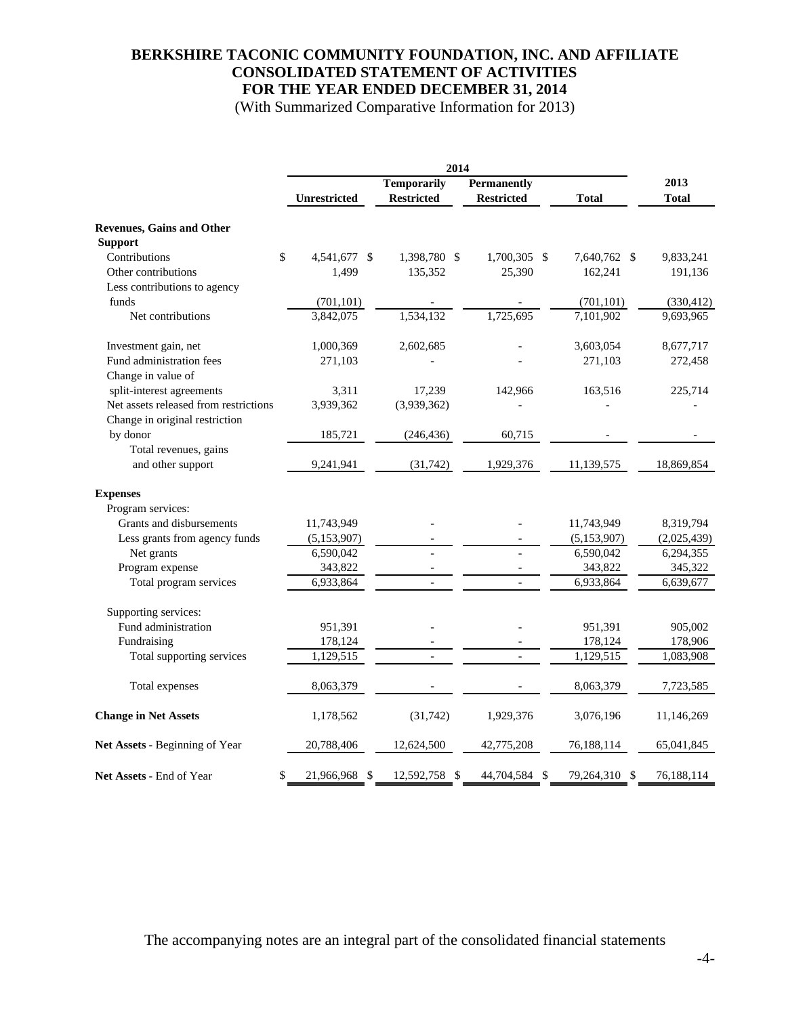## **BERKSHIRE TACONIC COMMUNITY FOUNDATION, INC. AND AFFILIATE CONSOLIDATED STATEMENT OF ACTIVITIES FOR THE YEAR ENDED DECEMBER 31, 2014**

(With Summarized Comparative Information for 2013)

|                                       | <b>Unrestricted</b> | <b>Temporarily</b><br><b>Restricted</b> | Permanently<br><b>Restricted</b> | <b>Total</b>      | 2013<br><b>Total</b> |
|---------------------------------------|---------------------|-----------------------------------------|----------------------------------|-------------------|----------------------|
| <b>Revenues, Gains and Other</b>      |                     |                                         |                                  |                   |                      |
| <b>Support</b>                        |                     |                                         |                                  |                   |                      |
| \$<br>Contributions                   | 4,541,677 \$        | 1,398,780 \$                            | 1,700,305 \$                     | 7,640,762 \$      | 9,833,241            |
| Other contributions                   | 1,499               | 135,352                                 | 25,390                           | 162,241           | 191,136              |
| Less contributions to agency          |                     |                                         |                                  |                   |                      |
| funds                                 | (701, 101)          |                                         |                                  | (701, 101)        | (330, 412)           |
| Net contributions                     | 3,842,075           | 1,534,132                               | 1,725,695                        | 7,101,902         | 9,693,965            |
| Investment gain, net                  | 1,000,369           | 2,602,685                               |                                  | 3,603,054         | 8,677,717            |
| Fund administration fees              | 271,103             |                                         |                                  | 271,103           | 272,458              |
| Change in value of                    |                     |                                         |                                  |                   |                      |
| split-interest agreements             | 3,311               | 17,239                                  | 142,966                          | 163,516           | 225,714              |
| Net assets released from restrictions | 3,939,362           | (3,939,362)                             |                                  |                   |                      |
| Change in original restriction        |                     |                                         |                                  |                   |                      |
| by donor                              | 185,721             | (246, 436)                              | 60,715                           |                   |                      |
| Total revenues, gains                 |                     |                                         |                                  |                   |                      |
| and other support                     | 9,241,941           | (31,742)                                | 1,929,376                        | 11,139,575        | 18,869,854           |
| <b>Expenses</b>                       |                     |                                         |                                  |                   |                      |
| Program services:                     |                     |                                         |                                  |                   |                      |
| Grants and disbursements              | 11,743,949          |                                         |                                  | 11,743,949        | 8,319,794            |
| Less grants from agency funds         | (5, 153, 907)       |                                         |                                  | (5, 153, 907)     | (2,025,439)          |
| Net grants                            | 6,590,042           |                                         |                                  | 6,590,042         | 6,294,355            |
| Program expense                       | 343,822             |                                         |                                  | 343,822           | 345,322              |
| Total program services                | 6,933,864           |                                         |                                  | 6,933,864         | 6,639,677            |
| Supporting services:                  |                     |                                         |                                  |                   |                      |
| Fund administration                   | 951,391             |                                         |                                  | 951,391           | 905,002              |
| Fundraising                           | 178,124             |                                         |                                  | 178,124           | 178,906              |
| Total supporting services             | 1,129,515           |                                         |                                  | 1,129,515         | 1,083,908            |
| Total expenses                        | 8,063,379           |                                         |                                  | 8,063,379         | 7,723,585            |
| <b>Change in Net Assets</b>           | 1,178,562           | (31,742)                                | 1,929,376                        | 3,076,196         | 11,146,269           |
| <b>Net Assets</b> - Beginning of Year | 20,788,406          | 12,624,500                              | 42,775,208                       | 76,188,114        | 65,041,845           |
| \$<br>Net Assets - End of Year        | 21,966,968 \$       | 12,592,758<br>-\$                       | 44,704,584 \$                    | 79,264,310<br>-\$ | 76,188,114           |

The accompanying notes are an integral part of the consolidated financial statements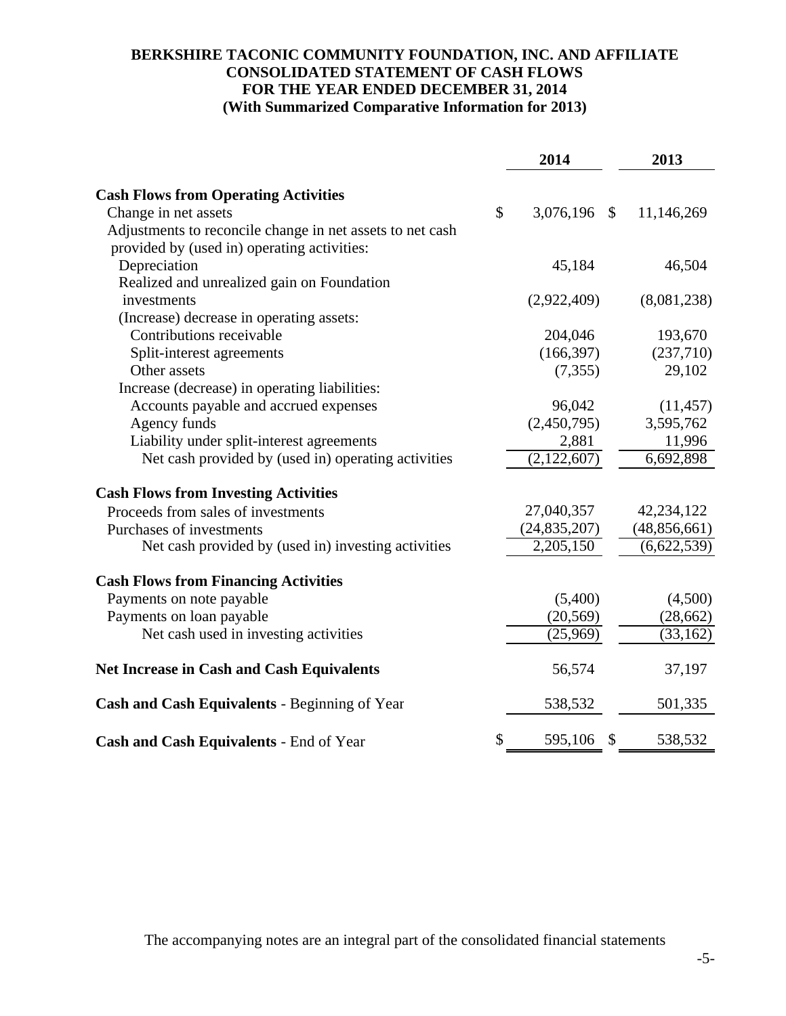## **BERKSHIRE TACONIC COMMUNITY FOUNDATION, INC. AND AFFILIATE CONSOLIDATED STATEMENT OF CASH FLOWS FOR THE YEAR ENDED DECEMBER 31, 2014 (With Summarized Comparative Information for 2013)**

|                                                           | 2014               |               | 2013                   |
|-----------------------------------------------------------|--------------------|---------------|------------------------|
| <b>Cash Flows from Operating Activities</b>               |                    |               |                        |
| Change in net assets                                      | \$<br>3,076,196 \$ |               | 11,146,269             |
| Adjustments to reconcile change in net assets to net cash |                    |               |                        |
| provided by (used in) operating activities:               |                    |               |                        |
| Depreciation                                              | 45,184             |               | 46,504                 |
| Realized and unrealized gain on Foundation                |                    |               |                        |
| investments                                               | (2,922,409)        |               | (8,081,238)            |
| (Increase) decrease in operating assets:                  |                    |               |                        |
| Contributions receivable                                  | 204,046            |               | 193,670                |
| Split-interest agreements                                 | (166, 397)         |               | (237,710)              |
| Other assets                                              | (7, 355)           |               | 29,102                 |
| Increase (decrease) in operating liabilities:             |                    |               |                        |
| Accounts payable and accrued expenses                     | 96,042             |               | (11, 457)              |
| Agency funds                                              | (2,450,795)        |               | 3,595,762              |
| Liability under split-interest agreements                 | 2,881              |               | 11,996                 |
| Net cash provided by (used in) operating activities       | (2,122,607)        |               | $\overline{6,692,898}$ |
| <b>Cash Flows from Investing Activities</b>               |                    |               |                        |
| Proceeds from sales of investments                        | 27,040,357         |               | 42,234,122             |
| Purchases of investments                                  | (24, 835, 207)     |               | (48, 856, 661)         |
| Net cash provided by (used in) investing activities       | 2,205,150          |               | (6,622,539)            |
| <b>Cash Flows from Financing Activities</b>               |                    |               |                        |
| Payments on note payable                                  | (5,400)            |               | (4,500)                |
| Payments on loan payable                                  | (20, 569)          |               | (28, 662)              |
| Net cash used in investing activities                     | (25,969)           |               | (33,162)               |
| <b>Net Increase in Cash and Cash Equivalents</b>          | 56,574             |               | 37,197                 |
| <b>Cash and Cash Equivalents - Beginning of Year</b>      | 538,532            |               | 501,335                |
| Cash and Cash Equivalents - End of Year                   | \$<br>595,106      | $\mathcal{S}$ | 538,532                |

The accompanying notes are an integral part of the consolidated financial statements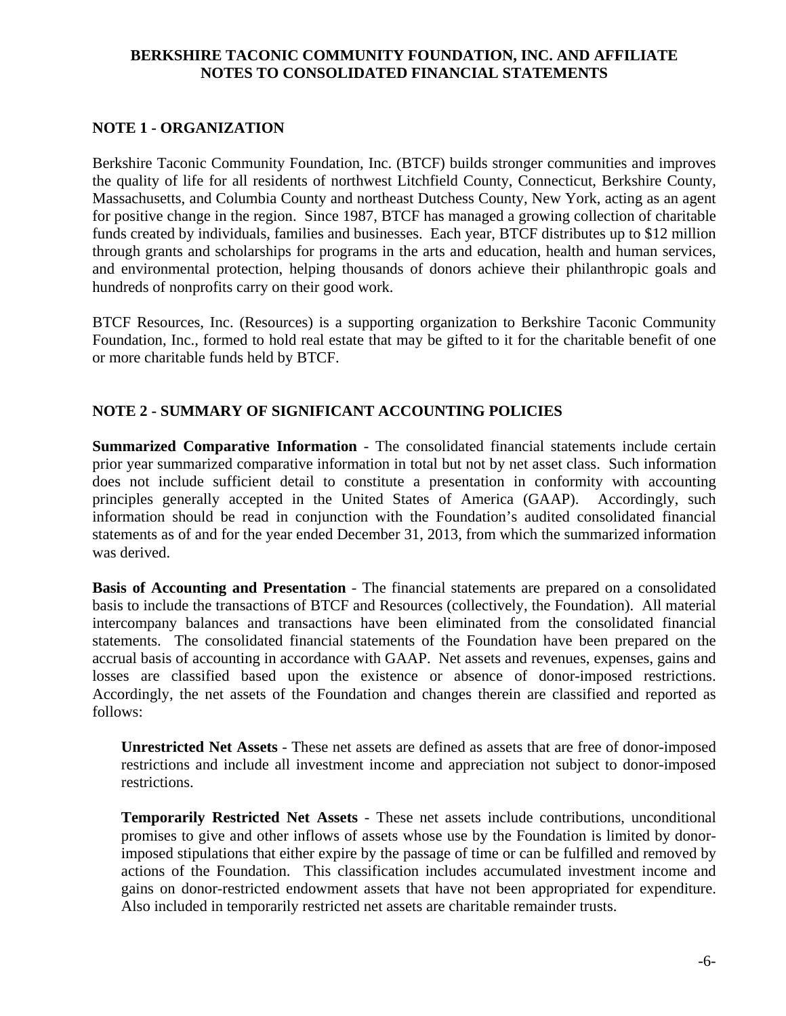#### **NOTE 1 - ORGANIZATION**

Berkshire Taconic Community Foundation, Inc. (BTCF) builds stronger communities and improves the quality of life for all residents of northwest Litchfield County, Connecticut, Berkshire County, Massachusetts, and Columbia County and northeast Dutchess County, New York, acting as an agent for positive change in the region. Since 1987, BTCF has managed a growing collection of charitable funds created by individuals, families and businesses. Each year, BTCF distributes up to \$12 million through grants and scholarships for programs in the arts and education, health and human services, and environmental protection, helping thousands of donors achieve their philanthropic goals and hundreds of nonprofits carry on their good work.

BTCF Resources, Inc. (Resources) is a supporting organization to Berkshire Taconic Community Foundation, Inc., formed to hold real estate that may be gifted to it for the charitable benefit of one or more charitable funds held by BTCF.

## **NOTE 2 - SUMMARY OF SIGNIFICANT ACCOUNTING POLICIES**

**Summarized Comparative Information** - The consolidated financial statements include certain prior year summarized comparative information in total but not by net asset class. Such information does not include sufficient detail to constitute a presentation in conformity with accounting principles generally accepted in the United States of America (GAAP). Accordingly, such information should be read in conjunction with the Foundation's audited consolidated financial statements as of and for the year ended December 31, 2013, from which the summarized information was derived.

**Basis of Accounting and Presentation** - The financial statements are prepared on a consolidated basis to include the transactions of BTCF and Resources (collectively, the Foundation). All material intercompany balances and transactions have been eliminated from the consolidated financial statements. The consolidated financial statements of the Foundation have been prepared on the accrual basis of accounting in accordance with GAAP. Net assets and revenues, expenses, gains and losses are classified based upon the existence or absence of donor-imposed restrictions. Accordingly, the net assets of the Foundation and changes therein are classified and reported as follows:

**Unrestricted Net Assets** - These net assets are defined as assets that are free of donor-imposed restrictions and include all investment income and appreciation not subject to donor-imposed restrictions.

**Temporarily Restricted Net Assets** - These net assets include contributions, unconditional promises to give and other inflows of assets whose use by the Foundation is limited by donorimposed stipulations that either expire by the passage of time or can be fulfilled and removed by actions of the Foundation. This classification includes accumulated investment income and gains on donor-restricted endowment assets that have not been appropriated for expenditure. Also included in temporarily restricted net assets are charitable remainder trusts.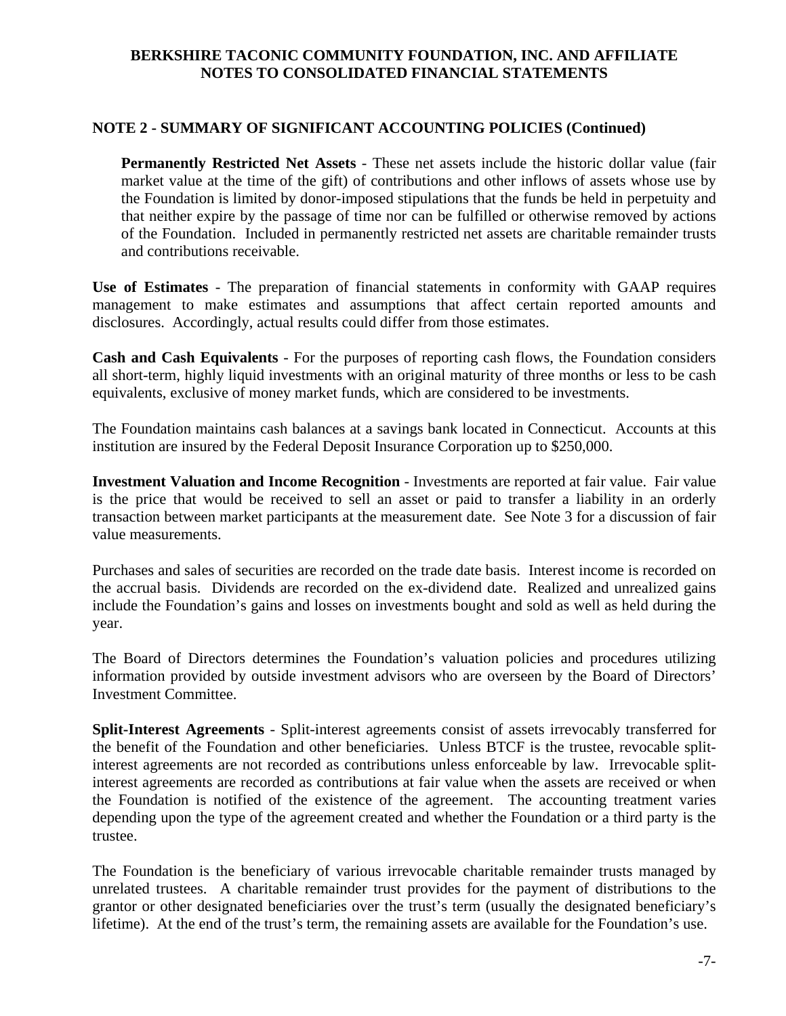#### **NOTE 2 - SUMMARY OF SIGNIFICANT ACCOUNTING POLICIES (Continued)**

**Permanently Restricted Net Assets** - These net assets include the historic dollar value (fair market value at the time of the gift) of contributions and other inflows of assets whose use by the Foundation is limited by donor-imposed stipulations that the funds be held in perpetuity and that neither expire by the passage of time nor can be fulfilled or otherwise removed by actions of the Foundation. Included in permanently restricted net assets are charitable remainder trusts and contributions receivable.

**Use of Estimates** - The preparation of financial statements in conformity with GAAP requires management to make estimates and assumptions that affect certain reported amounts and disclosures. Accordingly, actual results could differ from those estimates.

**Cash and Cash Equivalents** - For the purposes of reporting cash flows, the Foundation considers all short-term, highly liquid investments with an original maturity of three months or less to be cash equivalents, exclusive of money market funds, which are considered to be investments.

The Foundation maintains cash balances at a savings bank located in Connecticut. Accounts at this institution are insured by the Federal Deposit Insurance Corporation up to \$250,000.

**Investment Valuation and Income Recognition - Investments are reported at fair value. Fair value** is the price that would be received to sell an asset or paid to transfer a liability in an orderly transaction between market participants at the measurement date. See Note 3 for a discussion of fair value measurements.

Purchases and sales of securities are recorded on the trade date basis. Interest income is recorded on the accrual basis. Dividends are recorded on the ex-dividend date. Realized and unrealized gains include the Foundation's gains and losses on investments bought and sold as well as held during the year.

The Board of Directors determines the Foundation's valuation policies and procedures utilizing information provided by outside investment advisors who are overseen by the Board of Directors' Investment Committee.

**Split-Interest Agreements** - Split-interest agreements consist of assets irrevocably transferred for the benefit of the Foundation and other beneficiaries. Unless BTCF is the trustee, revocable splitinterest agreements are not recorded as contributions unless enforceable by law. Irrevocable splitinterest agreements are recorded as contributions at fair value when the assets are received or when the Foundation is notified of the existence of the agreement. The accounting treatment varies depending upon the type of the agreement created and whether the Foundation or a third party is the trustee.

The Foundation is the beneficiary of various irrevocable charitable remainder trusts managed by unrelated trustees. A charitable remainder trust provides for the payment of distributions to the grantor or other designated beneficiaries over the trust's term (usually the designated beneficiary's lifetime). At the end of the trust's term, the remaining assets are available for the Foundation's use.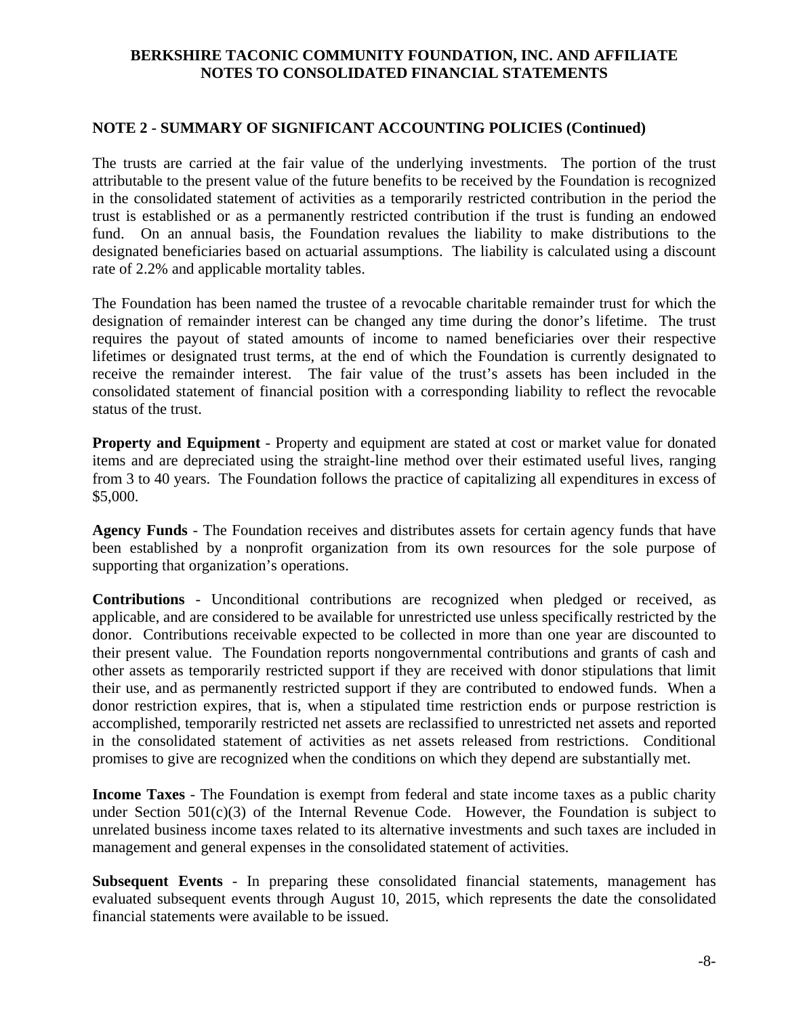#### **NOTE 2 - SUMMARY OF SIGNIFICANT ACCOUNTING POLICIES (Continued)**

The trusts are carried at the fair value of the underlying investments. The portion of the trust attributable to the present value of the future benefits to be received by the Foundation is recognized in the consolidated statement of activities as a temporarily restricted contribution in the period the trust is established or as a permanently restricted contribution if the trust is funding an endowed fund. On an annual basis, the Foundation revalues the liability to make distributions to the designated beneficiaries based on actuarial assumptions. The liability is calculated using a discount rate of 2.2% and applicable mortality tables.

The Foundation has been named the trustee of a revocable charitable remainder trust for which the designation of remainder interest can be changed any time during the donor's lifetime.The trust requires the payout of stated amounts of income to named beneficiaries over their respective lifetimes or designated trust terms, at the end of which the Foundation is currently designated to receive the remainder interest. The fair value of the trust's assets has been included in the consolidated statement of financial position with a corresponding liability to reflect the revocable status of the trust.

**Property and Equipment** - Property and equipment are stated at cost or market value for donated items and are depreciated using the straight-line method over their estimated useful lives, ranging from 3 to 40 years. The Foundation follows the practice of capitalizing all expenditures in excess of \$5,000.

**Agency Funds** - The Foundation receives and distributes assets for certain agency funds that have been established by a nonprofit organization from its own resources for the sole purpose of supporting that organization's operations.

**Contributions** - Unconditional contributions are recognized when pledged or received, as applicable, and are considered to be available for unrestricted use unless specifically restricted by the donor. Contributions receivable expected to be collected in more than one year are discounted to their present value. The Foundation reports nongovernmental contributions and grants of cash and other assets as temporarily restricted support if they are received with donor stipulations that limit their use, and as permanently restricted support if they are contributed to endowed funds. When a donor restriction expires, that is, when a stipulated time restriction ends or purpose restriction is accomplished, temporarily restricted net assets are reclassified to unrestricted net assets and reported in the consolidated statement of activities as net assets released from restrictions. Conditional promises to give are recognized when the conditions on which they depend are substantially met.

**Income Taxes** - The Foundation is exempt from federal and state income taxes as a public charity under Section 501(c)(3) of the Internal Revenue Code. However, the Foundation is subject to unrelated business income taxes related to its alternative investments and such taxes are included in management and general expenses in the consolidated statement of activities.

**Subsequent Events** - In preparing these consolidated financial statements, management has evaluated subsequent events through August 10, 2015, which represents the date the consolidated financial statements were available to be issued.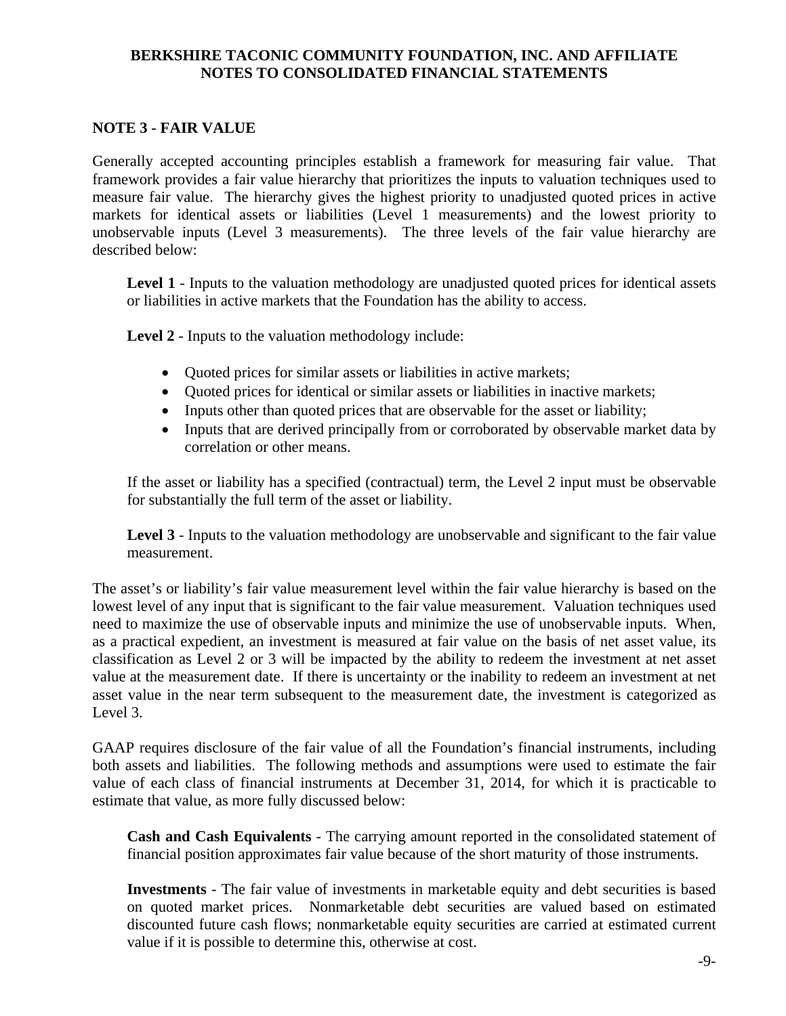### **NOTE 3 - FAIR VALUE**

Generally accepted accounting principles establish a framework for measuring fair value. That framework provides a fair value hierarchy that prioritizes the inputs to valuation techniques used to measure fair value. The hierarchy gives the highest priority to unadjusted quoted prices in active markets for identical assets or liabilities (Level 1 measurements) and the lowest priority to unobservable inputs (Level 3 measurements). The three levels of the fair value hierarchy are described below:

**Level 1** - Inputs to the valuation methodology are unadjusted quoted prices for identical assets or liabilities in active markets that the Foundation has the ability to access.

**Level 2** - Inputs to the valuation methodology include:

- Quoted prices for similar assets or liabilities in active markets;
- Quoted prices for identical or similar assets or liabilities in inactive markets;
- Inputs other than quoted prices that are observable for the asset or liability;
- Inputs that are derived principally from or corroborated by observable market data by correlation or other means.

If the asset or liability has a specified (contractual) term, the Level 2 input must be observable for substantially the full term of the asset or liability.

**Level 3** - Inputs to the valuation methodology are unobservable and significant to the fair value measurement.

The asset's or liability's fair value measurement level within the fair value hierarchy is based on the lowest level of any input that is significant to the fair value measurement. Valuation techniques used need to maximize the use of observable inputs and minimize the use of unobservable inputs. When, as a practical expedient, an investment is measured at fair value on the basis of net asset value, its classification as Level 2 or 3 will be impacted by the ability to redeem the investment at net asset value at the measurement date. If there is uncertainty or the inability to redeem an investment at net asset value in the near term subsequent to the measurement date, the investment is categorized as Level 3.

GAAP requires disclosure of the fair value of all the Foundation's financial instruments, including both assets and liabilities. The following methods and assumptions were used to estimate the fair value of each class of financial instruments at December 31, 2014, for which it is practicable to estimate that value, as more fully discussed below:

**Cash and Cash Equivalents** - The carrying amount reported in the consolidated statement of financial position approximates fair value because of the short maturity of those instruments.

**Investments** - The fair value of investments in marketable equity and debt securities is based on quoted market prices. Nonmarketable debt securities are valued based on estimated discounted future cash flows; nonmarketable equity securities are carried at estimated current value if it is possible to determine this, otherwise at cost.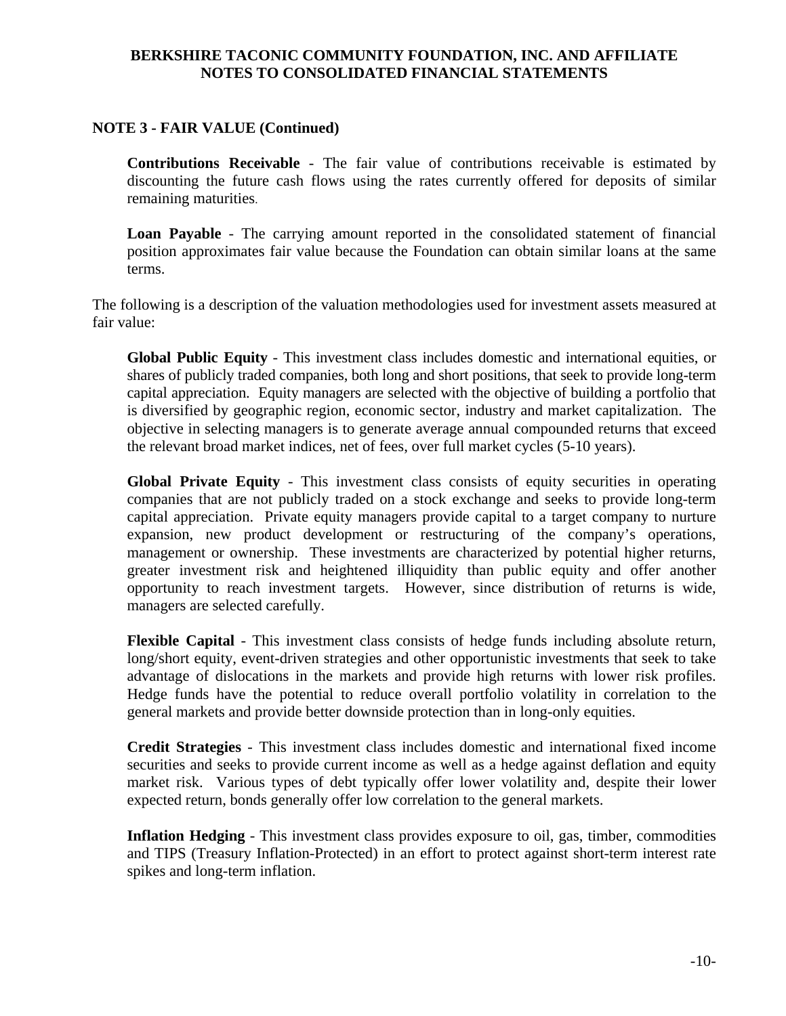#### **NOTE 3 - FAIR VALUE (Continued)**

**Contributions Receivable** - The fair value of contributions receivable is estimated by discounting the future cash flows using the rates currently offered for deposits of similar remaining maturities.

**Loan Payable** - The carrying amount reported in the consolidated statement of financial position approximates fair value because the Foundation can obtain similar loans at the same terms.

The following is a description of the valuation methodologies used for investment assets measured at fair value:

**Global Public Equity** - This investment class includes domestic and international equities, or shares of publicly traded companies, both long and short positions, that seek to provide long-term capital appreciation. Equity managers are selected with the objective of building a portfolio that is diversified by geographic region, economic sector, industry and market capitalization. The objective in selecting managers is to generate average annual compounded returns that exceed the relevant broad market indices, net of fees, over full market cycles (5-10 years).

**Global Private Equity** - This investment class consists of equity securities in operating companies that are not publicly traded on a stock exchange and seeks to provide long-term capital appreciation. Private equity managers provide capital to a target company to nurture expansion, new product development or restructuring of the company's operations, management or ownership. These investments are characterized by potential higher returns, greater investment risk and heightened illiquidity than public equity and offer another opportunity to reach investment targets. However, since distribution of returns is wide, managers are selected carefully.

**Flexible Capital** - This investment class consists of hedge funds including absolute return, long/short equity, event-driven strategies and other opportunistic investments that seek to take advantage of dislocations in the markets and provide high returns with lower risk profiles. Hedge funds have the potential to reduce overall portfolio volatility in correlation to the general markets and provide better downside protection than in long-only equities.

**Credit Strategies** - This investment class includes domestic and international fixed income securities and seeks to provide current income as well as a hedge against deflation and equity market risk. Various types of debt typically offer lower volatility and, despite their lower expected return, bonds generally offer low correlation to the general markets.

**Inflation Hedging** - This investment class provides exposure to oil, gas, timber, commodities and TIPS (Treasury Inflation-Protected) in an effort to protect against short-term interest rate spikes and long-term inflation.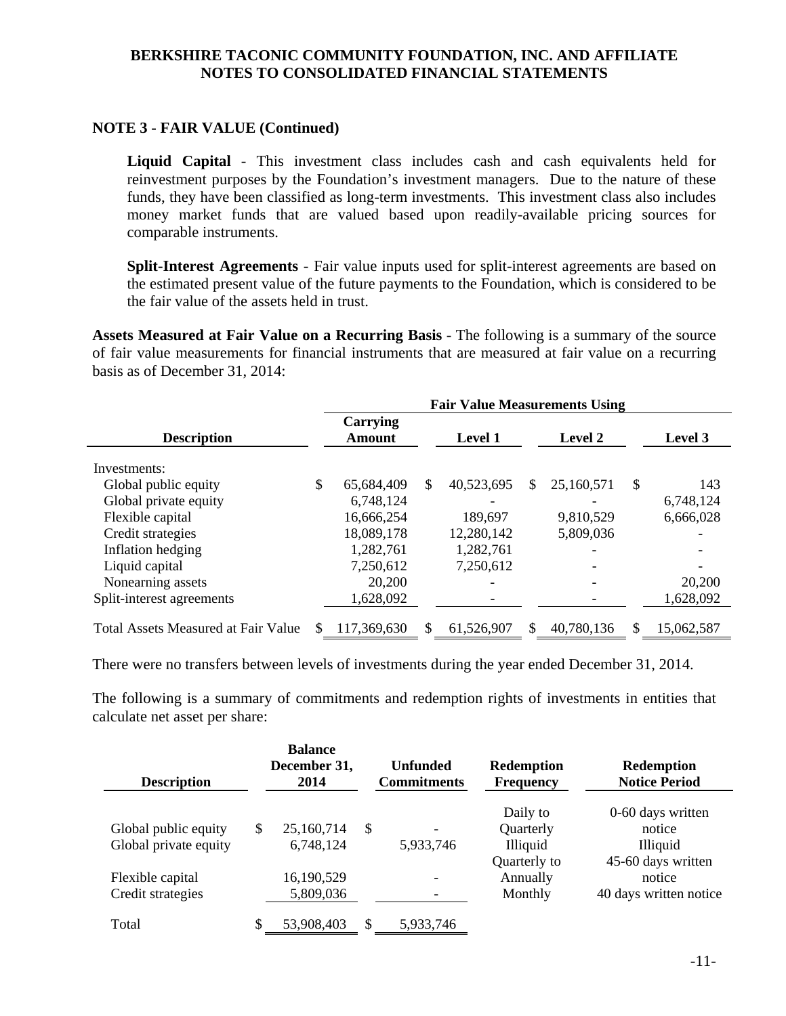#### **NOTE 3 - FAIR VALUE (Continued)**

**Liquid Capital** - This investment class includes cash and cash equivalents held for reinvestment purposes by the Foundation's investment managers. Due to the nature of these funds, they have been classified as long-term investments. This investment class also includes money market funds that are valued based upon readily-available pricing sources for comparable instruments.

**Split-Interest Agreements** - Fair value inputs used for split-interest agreements are based on the estimated present value of the future payments to the Foundation, which is considered to be the fair value of the assets held in trust.

**Assets Measured at Fair Value on a Recurring Basis** - The following is a summary of the source of fair value measurements for financial instruments that are measured at fair value on a recurring basis as of December 31, 2014:

|                                            |    | <b>Fair Value Measurements Using</b> |    |            |   |                |    |            |  |  |
|--------------------------------------------|----|--------------------------------------|----|------------|---|----------------|----|------------|--|--|
| <b>Description</b>                         |    | Carrying<br><b>Amount</b>            |    | Level 1    |   | <b>Level 2</b> |    | Level 3    |  |  |
| Investments:                               |    |                                      |    |            |   |                |    |            |  |  |
| Global public equity                       | \$ | 65,684,409                           | \$ | 40,523,695 | S | 25,160,571     | \$ | 143        |  |  |
| Global private equity                      |    | 6,748,124                            |    |            |   |                |    | 6,748,124  |  |  |
| Flexible capital                           |    | 16,666,254                           |    | 189,697    |   | 9,810,529      |    | 6,666,028  |  |  |
| Credit strategies                          |    | 18,089,178                           |    | 12,280,142 |   | 5,809,036      |    |            |  |  |
| Inflation hedging                          |    | 1,282,761                            |    | 1,282,761  |   |                |    |            |  |  |
| Liquid capital                             |    | 7,250,612                            |    | 7,250,612  |   |                |    |            |  |  |
| Nonearning assets                          |    | 20,200                               |    |            |   |                |    | 20,200     |  |  |
| Split-interest agreements                  |    | 1,628,092                            |    |            |   |                |    | 1,628,092  |  |  |
| <b>Total Assets Measured at Fair Value</b> | S  | 117,369,630                          |    | 61,526,907 |   | 40,780,136     |    | 15,062,587 |  |  |

There were no transfers between levels of investments during the year ended December 31, 2014.

The following is a summary of commitments and redemption rights of investments in entities that calculate net asset per share:

| <b>Description</b>    | <b>Balance</b><br>December 31,<br>2014 |              | <b>Unfunded</b><br><b>Commitments</b> | <b>Redemption</b><br><b>Frequency</b> | <b>Redemption</b><br><b>Notice Period</b> |
|-----------------------|----------------------------------------|--------------|---------------------------------------|---------------------------------------|-------------------------------------------|
|                       |                                        |              |                                       | Daily to                              | 0-60 days written                         |
| Global public equity  | \$<br>25,160,714                       | <sup>S</sup> |                                       | Quarterly                             | notice                                    |
| Global private equity | 6,748,124                              |              | 5,933,746                             | Illiquid                              | Illiquid                                  |
|                       |                                        |              |                                       | Quarterly to                          | 45-60 days written                        |
| Flexible capital      | 16,190,529                             |              | ۰                                     | Annually                              | notice                                    |
| Credit strategies     | 5,809,036                              |              |                                       | Monthly                               | 40 days written notice                    |
| Total                 | \$<br>53,908,403                       | S            | 5,933,746                             |                                       |                                           |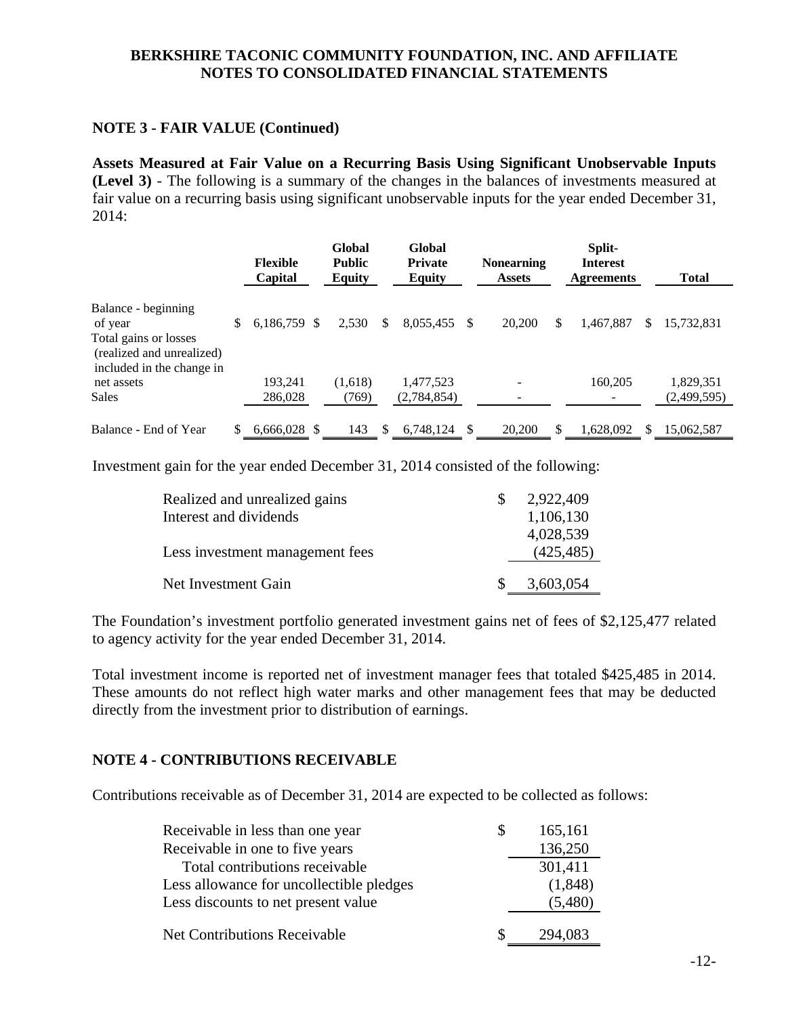#### **NOTE 3 - FAIR VALUE (Continued)**

**Assets Measured at Fair Value on a Recurring Basis Using Significant Unobservable Inputs (Level 3)** - The following is a summary of the changes in the balances of investments measured at fair value on a recurring basis using significant unobservable inputs for the year ended December 31, 2014:

|                                                                                                                   |    | <b>Flexible</b><br>Capital |      | Global<br><b>Public</b><br>Equity |    | Global<br><b>Private</b><br><b>Equity</b> | <b>Nonearning</b><br><b>Assets</b> | Split-<br><b>Interest</b><br><b>Agreements</b> |   | <b>Total</b>             |
|-------------------------------------------------------------------------------------------------------------------|----|----------------------------|------|-----------------------------------|----|-------------------------------------------|------------------------------------|------------------------------------------------|---|--------------------------|
| Balance - beginning<br>of year<br>Total gains or losses<br>(realized and unrealized)<br>included in the change in | S. | 6.186.759 \$               |      | 2,530                             | \$ | 8,055,455                                 | \$<br>20,200                       | \$<br>1,467,887                                | S | 15,732,831               |
| net assets<br><b>Sales</b>                                                                                        |    | 193,241<br>286,028         |      | (1,618)<br>(769)                  |    | 1,477,523<br>(2,784,854)                  |                                    | 160,205                                        |   | 1,829,351<br>(2,499,595) |
| Balance - End of Year                                                                                             |    | 6,666,028                  | - \$ | 143                               | S  | 6,748,124                                 | \$<br>20,200                       | \$<br>1,628,092                                | S | 15,062,587               |

Investment gain for the year ended December 31, 2014 consisted of the following:

| Realized and unrealized gains<br>Interest and dividends | 2,922,409<br>1,106,130  |
|---------------------------------------------------------|-------------------------|
| Less investment management fees                         | 4,028,539<br>(425, 485) |
| Net Investment Gain                                     | 3,603,054               |

The Foundation's investment portfolio generated investment gains net of fees of \$2,125,477 related to agency activity for the year ended December 31, 2014.

Total investment income is reported net of investment manager fees that totaled \$425,485 in 2014. These amounts do not reflect high water marks and other management fees that may be deducted directly from the investment prior to distribution of earnings.

#### **NOTE 4 - CONTRIBUTIONS RECEIVABLE**

Contributions receivable as of December 31, 2014 are expected to be collected as follows:

| Receivable in less than one year         | <b>S</b> | 165,161 |
|------------------------------------------|----------|---------|
| Receivable in one to five years          |          | 136,250 |
| Total contributions receivable           |          | 301,411 |
| Less allowance for uncollectible pledges |          | (1,848) |
| Less discounts to net present value      |          | (5,480) |
| <b>Net Contributions Receivable</b>      | S        | 294,083 |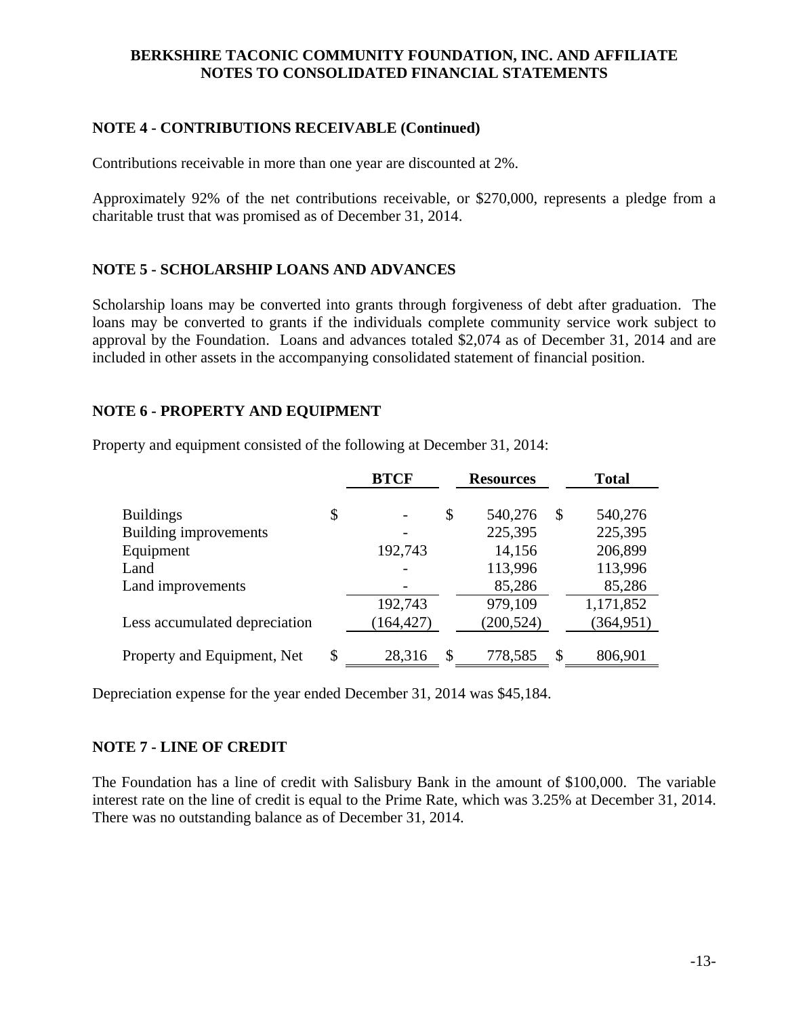### **NOTE 4 - CONTRIBUTIONS RECEIVABLE (Continued)**

Contributions receivable in more than one year are discounted at 2%.

Approximately 92% of the net contributions receivable, or \$270,000, represents a pledge from a charitable trust that was promised as of December 31, 2014.

#### **NOTE 5 - SCHOLARSHIP LOANS AND ADVANCES**

Scholarship loans may be converted into grants through forgiveness of debt after graduation. The loans may be converted to grants if the individuals complete community service work subject to approval by the Foundation. Loans and advances totaled \$2,074 as of December 31, 2014 and are included in other assets in the accompanying consolidated statement of financial position.

#### **NOTE 6 - PROPERTY AND EQUIPMENT**

Property and equipment consisted of the following at December 31, 2014:

|                               | <b>BTCF</b>  | <b>Resources</b> |    | <b>Total</b> |
|-------------------------------|--------------|------------------|----|--------------|
| <b>Buildings</b>              | \$           | \$<br>540,276    | \$ | 540,276      |
| Building improvements         |              | 225,395          |    | 225,395      |
| Equipment                     | 192,743      | 14,156           |    | 206,899      |
| Land                          |              | 113,996          |    | 113,996      |
| Land improvements             |              | 85,286           |    | 85,286       |
|                               | 192,743      | 979,109          |    | 1,171,852    |
| Less accumulated depreciation | (164, 427)   | (200, 524)       |    | (364, 951)   |
| Property and Equipment, Net   | \$<br>28,316 | \$<br>778,585    | S  | 806,901      |

Depreciation expense for the year ended December 31, 2014 was \$45,184.

#### **NOTE 7 - LINE OF CREDIT**

The Foundation has a line of credit with Salisbury Bank in the amount of \$100,000. The variable interest rate on the line of credit is equal to the Prime Rate, which was 3.25% at December 31, 2014. There was no outstanding balance as of December 31, 2014.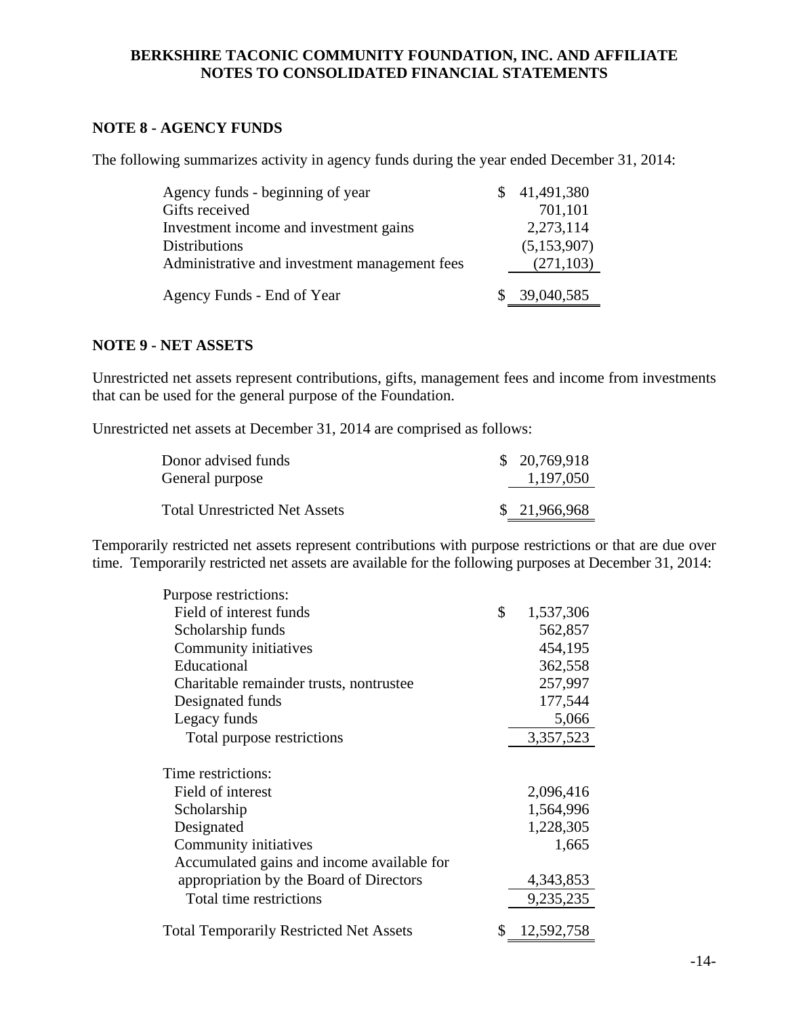## **NOTE 8 - AGENCY FUNDS**

The following summarizes activity in agency funds during the year ended December 31, 2014:

| Agency funds - beginning of year              | \$41,491,380  |
|-----------------------------------------------|---------------|
| Gifts received                                | 701,101       |
| Investment income and investment gains        | 2,273,114     |
| <b>Distributions</b>                          | (5, 153, 907) |
| Administrative and investment management fees | (271, 103)    |
| Agency Funds - End of Year                    | \$39,040,585  |

#### **NOTE 9 - NET ASSETS**

Unrestricted net assets represent contributions, gifts, management fees and income from investments that can be used for the general purpose of the Foundation.

Unrestricted net assets at December 31, 2014 are comprised as follows:

| Donor advised funds<br>General purpose | \$20,769,918<br>1,197,050 |
|----------------------------------------|---------------------------|
| <b>Total Unrestricted Net Assets</b>   | \$21,966,968              |

Temporarily restricted net assets represent contributions with purpose restrictions or that are due over time. Temporarily restricted net assets are available for the following purposes at December 31, 2014:

| Purpose restrictions:                          |                  |
|------------------------------------------------|------------------|
| Field of interest funds                        | \$<br>1,537,306  |
| Scholarship funds                              | 562,857          |
| Community initiatives                          | 454,195          |
| Educational                                    | 362,558          |
| Charitable remainder trusts, nontrustee        | 257,997          |
| Designated funds                               | 177,544          |
| Legacy funds                                   | 5,066            |
| Total purpose restrictions                     | 3,357,523        |
| Time restrictions:                             |                  |
| Field of interest                              | 2,096,416        |
| Scholarship                                    | 1,564,996        |
| Designated                                     | 1,228,305        |
| Community initiatives                          | 1,665            |
| Accumulated gains and income available for     |                  |
| appropriation by the Board of Directors        | 4,343,853        |
| Total time restrictions                        | 9,235,235        |
| <b>Total Temporarily Restricted Net Assets</b> | \$<br>12,592,758 |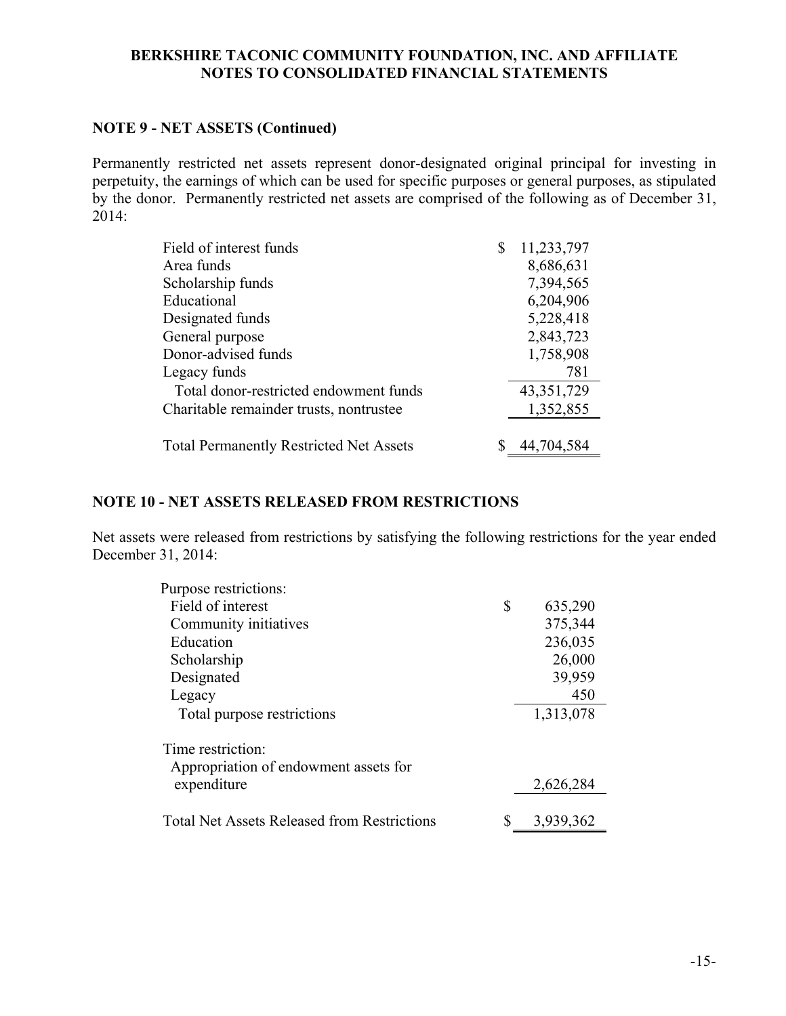## **NOTE 9 - NET ASSETS (Continued)**

Permanently restricted net assets represent donor-designated original principal for investing in perpetuity, the earnings of which can be used for specific purposes or general purposes, as stipulated by the donor. Permanently restricted net assets are comprised of the following as of December 31, 2014:

| Field of interest funds                        | \$<br>11,233,797 |
|------------------------------------------------|------------------|
| Area funds                                     | 8,686,631        |
| Scholarship funds                              | 7,394,565        |
| Educational                                    | 6,204,906        |
| Designated funds                               | 5,228,418        |
| General purpose                                | 2,843,723        |
| Donor-advised funds                            | 1,758,908        |
| Legacy funds                                   | 781              |
| Total donor-restricted endowment funds         | 43, 351, 729     |
| Charitable remainder trusts, nontrustee        | 1,352,855        |
|                                                |                  |
| <b>Total Permanently Restricted Net Assets</b> | 44,704,584       |

## **NOTE 10 - NET ASSETS RELEASED FROM RESTRICTIONS**

Net assets were released from restrictions by satisfying the following restrictions for the year ended December 31, 2014:

| Purpose restrictions:                                      |                 |
|------------------------------------------------------------|-----------------|
| Field of interest                                          | \$<br>635,290   |
| Community initiatives                                      | 375,344         |
| Education                                                  | 236,035         |
| Scholarship                                                | 26,000          |
| Designated                                                 | 39,959          |
| Legacy                                                     | 450             |
| Total purpose restrictions                                 | 1,313,078       |
| Time restriction:<br>Appropriation of endowment assets for |                 |
| expenditure                                                | 2,626,284       |
| <b>Total Net Assets Released from Restrictions</b>         | \$<br>3,939,362 |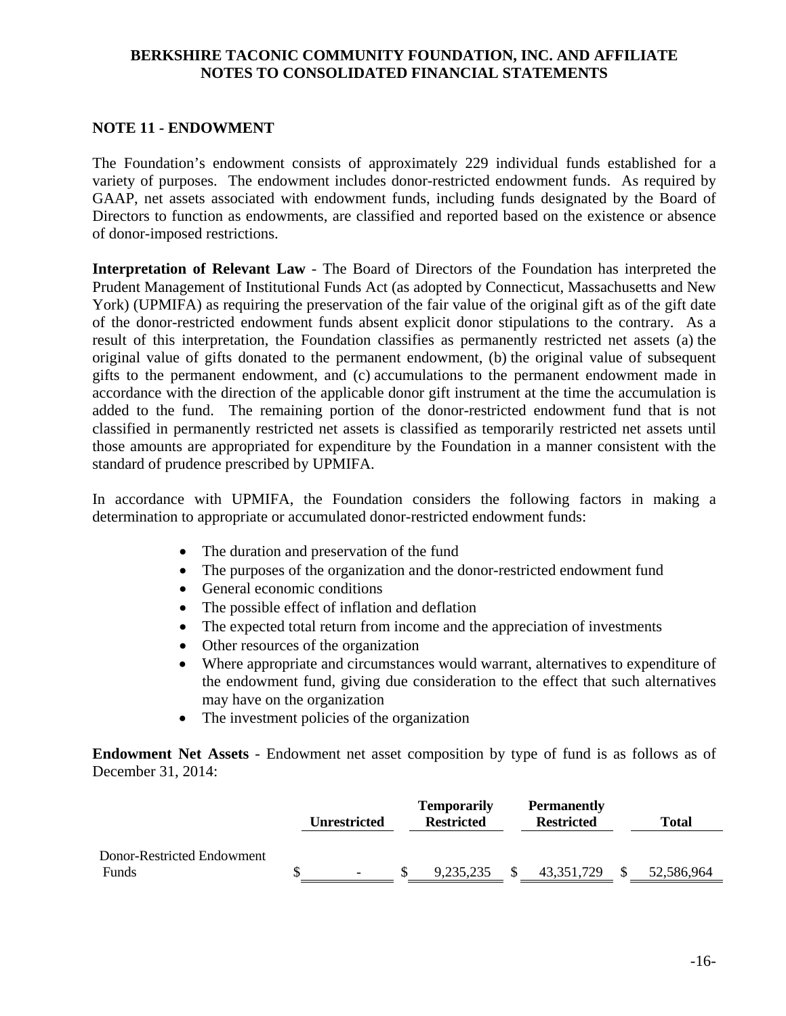#### **NOTE 11 - ENDOWMENT**

The Foundation's endowment consists of approximately 229 individual funds established for a variety of purposes. The endowment includes donor-restricted endowment funds. As required by GAAP, net assets associated with endowment funds, including funds designated by the Board of Directors to function as endowments, are classified and reported based on the existence or absence of donor-imposed restrictions.

**Interpretation of Relevant Law** - The Board of Directors of the Foundation has interpreted the Prudent Management of Institutional Funds Act (as adopted by Connecticut, Massachusetts and New York) (UPMIFA) as requiring the preservation of the fair value of the original gift as of the gift date of the donor-restricted endowment funds absent explicit donor stipulations to the contrary. As a result of this interpretation, the Foundation classifies as permanently restricted net assets (a) the original value of gifts donated to the permanent endowment, (b) the original value of subsequent gifts to the permanent endowment, and (c) accumulations to the permanent endowment made in accordance with the direction of the applicable donor gift instrument at the time the accumulation is added to the fund. The remaining portion of the donor-restricted endowment fund that is not classified in permanently restricted net assets is classified as temporarily restricted net assets until those amounts are appropriated for expenditure by the Foundation in a manner consistent with the standard of prudence prescribed by UPMIFA.

In accordance with UPMIFA, the Foundation considers the following factors in making a determination to appropriate or accumulated donor-restricted endowment funds:

- The duration and preservation of the fund
- The purposes of the organization and the donor-restricted endowment fund
- General economic conditions
- The possible effect of inflation and deflation
- The expected total return from income and the appreciation of investments
- Other resources of the organization
- Where appropriate and circumstances would warrant, alternatives to expenditure of the endowment fund, giving due consideration to the effect that such alternatives may have on the organization
- The investment policies of the organization

**Endowment Net Assets** - Endowment net asset composition by type of fund is as follows as of December 31, 2014:

|                                     | <b>Unrestricted</b>      | <b>Temporarily</b><br><b>Restricted</b> | <b>Permanently</b><br><b>Restricted</b> | <b>Total</b> |
|-------------------------------------|--------------------------|-----------------------------------------|-----------------------------------------|--------------|
| Donor-Restricted Endowment<br>Funds | $\overline{\phantom{a}}$ | 9,235,235                               | 43, 351, 729                            | 52,586,964   |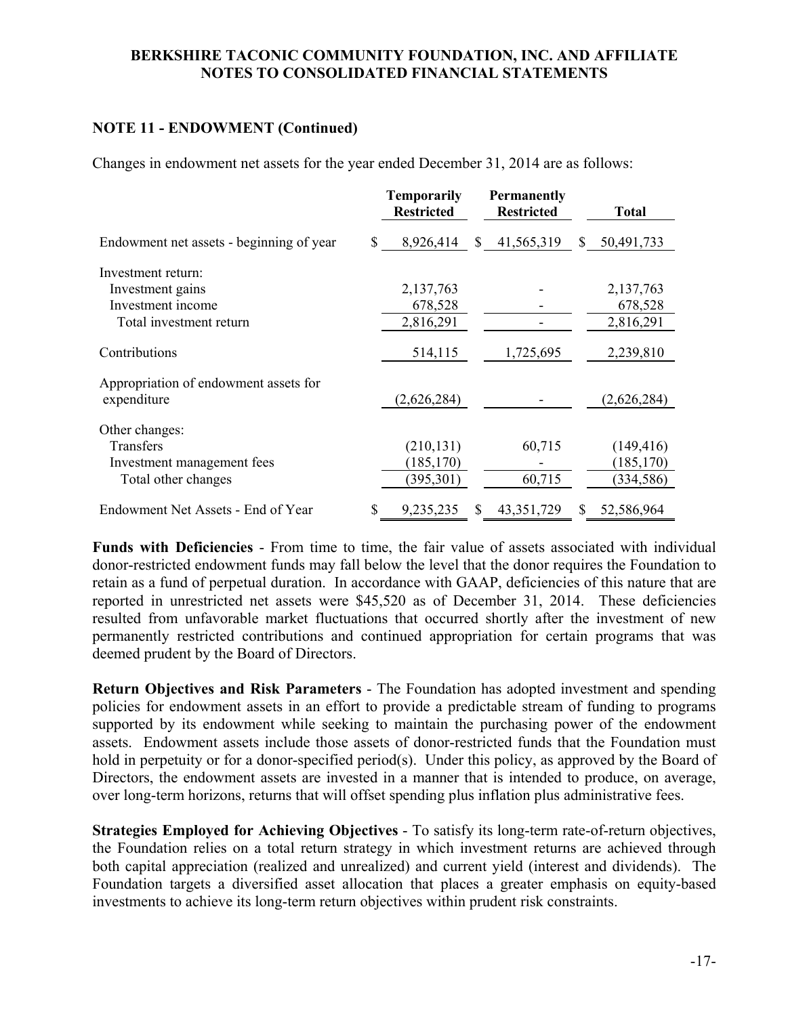### **NOTE 11 - ENDOWMENT (Continued)**

Changes in endowment net assets for the year ended December 31, 2014 are as follows:

|                                                      |    | <b>Temporarily</b><br><b>Restricted</b> |              | <b>Permanently</b><br><b>Restricted</b> |              | <b>Total</b> |
|------------------------------------------------------|----|-----------------------------------------|--------------|-----------------------------------------|--------------|--------------|
| Endowment net assets - beginning of year             | \$ | 8,926,414                               | $\mathbb{S}$ | 41,565,319                              | <sup>S</sup> | 50,491,733   |
| Investment return:                                   |    |                                         |              |                                         |              |              |
| Investment gains                                     |    | 2,137,763                               |              |                                         |              | 2,137,763    |
| Investment income                                    |    | 678,528                                 |              |                                         |              | 678,528      |
| Total investment return                              |    | 2,816,291                               |              |                                         |              | 2,816,291    |
| Contributions                                        |    | 514,115                                 |              | 1,725,695                               |              | 2,239,810    |
| Appropriation of endowment assets for<br>expenditure |    | (2,626,284)                             |              |                                         |              | (2,626,284)  |
| Other changes:                                       |    |                                         |              |                                         |              |              |
| Transfers                                            |    | (210, 131)                              |              | 60,715                                  |              | (149, 416)   |
| Investment management fees                           |    | (185, 170)                              |              |                                         |              | (185, 170)   |
| Total other changes                                  |    | (395, 301)                              |              | 60,715                                  |              | (334, 586)   |
| Endowment Net Assets - End of Year                   | S  | 9,235,235                               | \$.          | 43, 351, 729                            | \$           | 52,586,964   |

**Funds with Deficiencies** - From time to time, the fair value of assets associated with individual donor-restricted endowment funds may fall below the level that the donor requires the Foundation to retain as a fund of perpetual duration. In accordance with GAAP, deficiencies of this nature that are reported in unrestricted net assets were \$45,520 as of December 31, 2014. These deficiencies resulted from unfavorable market fluctuations that occurred shortly after the investment of new permanently restricted contributions and continued appropriation for certain programs that was deemed prudent by the Board of Directors.

**Return Objectives and Risk Parameters** - The Foundation has adopted investment and spending policies for endowment assets in an effort to provide a predictable stream of funding to programs supported by its endowment while seeking to maintain the purchasing power of the endowment assets. Endowment assets include those assets of donor-restricted funds that the Foundation must hold in perpetuity or for a donor-specified period(s). Under this policy, as approved by the Board of Directors, the endowment assets are invested in a manner that is intended to produce, on average, over long-term horizons, returns that will offset spending plus inflation plus administrative fees.

**Strategies Employed for Achieving Objectives** - To satisfy its long-term rate-of-return objectives, the Foundation relies on a total return strategy in which investment returns are achieved through both capital appreciation (realized and unrealized) and current yield (interest and dividends). The Foundation targets a diversified asset allocation that places a greater emphasis on equity-based investments to achieve its long-term return objectives within prudent risk constraints.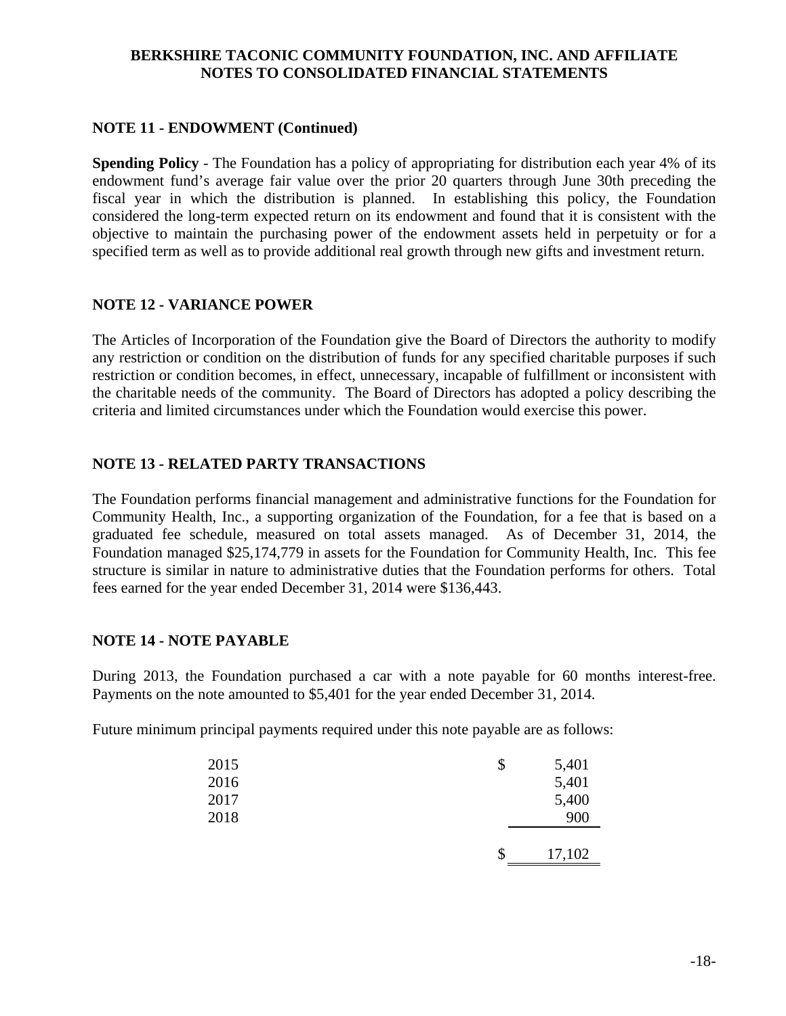#### **NOTE 11 - ENDOWMENT (Continued)**

**Spending Policy** - The Foundation has a policy of appropriating for distribution each year 4% of its endowment fund's average fair value over the prior 20 quarters through June 30th preceding the fiscal year in which the distribution is planned. In establishing this policy, the Foundation considered the long-term expected return on its endowment and found that it is consistent with the objective to maintain the purchasing power of the endowment assets held in perpetuity or for a specified term as well as to provide additional real growth through new gifts and investment return.

#### **NOTE 12 - VARIANCE POWER**

The Articles of Incorporation of the Foundation give the Board of Directors the authority to modify any restriction or condition on the distribution of funds for any specified charitable purposes if such restriction or condition becomes, in effect, unnecessary, incapable of fulfillment or inconsistent with the charitable needs of the community. The Board of Directors has adopted a policy describing the criteria and limited circumstances under which the Foundation would exercise this power.

#### **NOTE 13 - RELATED PARTY TRANSACTIONS**

The Foundation performs financial management and administrative functions for the Foundation for Community Health, Inc., a supporting organization of the Foundation, for a fee that is based on a graduated fee schedule, measured on total assets managed. As of December 31, 2014, the Foundation managed \$25,174,779 in assets for the Foundation for Community Health, Inc. This fee structure is similar in nature to administrative duties that the Foundation performs for others. Total fees earned for the year ended December 31, 2014 were \$136,443.

#### **NOTE 14 - NOTE PAYABLE**

During 2013, the Foundation purchased a car with a note payable for 60 months interest-free. Payments on the note amounted to \$5,401 for the year ended December 31, 2014.

Future minimum principal payments required under this note payable are as follows:

| 2015 | \$<br>5,401  |
|------|--------------|
| 2016 | 5,401        |
| 2017 | 5,400        |
| 2018 | 900          |
|      |              |
|      | \$<br>17,102 |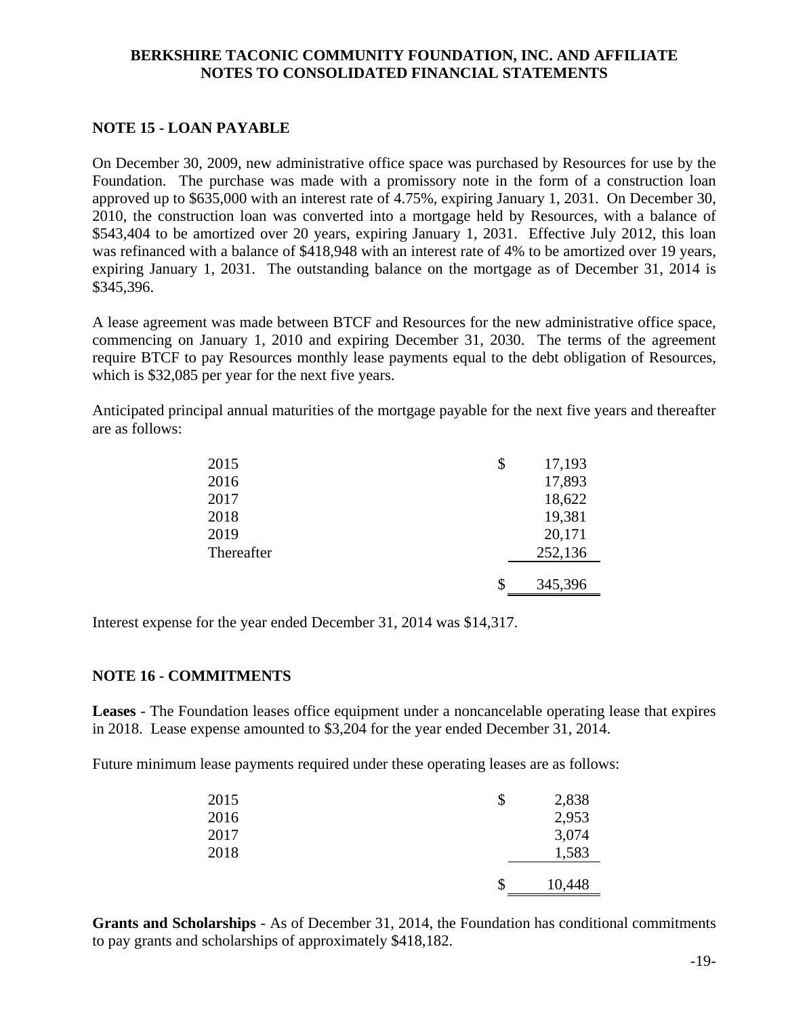#### **NOTE 15 - LOAN PAYABLE**

On December 30, 2009, new administrative office space was purchased by Resources for use by the Foundation. The purchase was made with a promissory note in the form of a construction loan approved up to \$635,000 with an interest rate of 4.75%, expiring January 1, 2031. On December 30, 2010, the construction loan was converted into a mortgage held by Resources, with a balance of \$543,404 to be amortized over 20 years, expiring January 1, 2031. Effective July 2012, this loan was refinanced with a balance of \$418,948 with an interest rate of 4% to be amortized over 19 years, expiring January 1, 2031. The outstanding balance on the mortgage as of December 31, 2014 is \$345,396.

A lease agreement was made between BTCF and Resources for the new administrative office space, commencing on January 1, 2010 and expiring December 31, 2030. The terms of the agreement require BTCF to pay Resources monthly lease payments equal to the debt obligation of Resources, which is \$32,085 per year for the next five years.

Anticipated principal annual maturities of the mortgage payable for the next five years and thereafter are as follows:

| 2015       | \$<br>17,193  |
|------------|---------------|
| 2016       | 17,893        |
| 2017       | 18,622        |
| 2018       | 19,381        |
| 2019       | 20,171        |
| Thereafter | 252,136       |
|            |               |
|            | \$<br>345,396 |

Interest expense for the year ended December 31, 2014 was \$14,317.

#### **NOTE 16 - COMMITMENTS**

**Leases** - The Foundation leases office equipment under a noncancelable operating lease that expires in 2018. Lease expense amounted to \$3,204 for the year ended December 31, 2014.

Future minimum lease payments required under these operating leases are as follows:

| 2015<br>2016 | \$<br>2,838<br>2,953 |
|--------------|----------------------|
| 2017         | 3,074                |
| 2018         | 1,583                |
|              | \$<br>10,448         |

**Grants and Scholarships** - As of December 31, 2014, the Foundation has conditional commitments to pay grants and scholarships of approximately \$418,182.